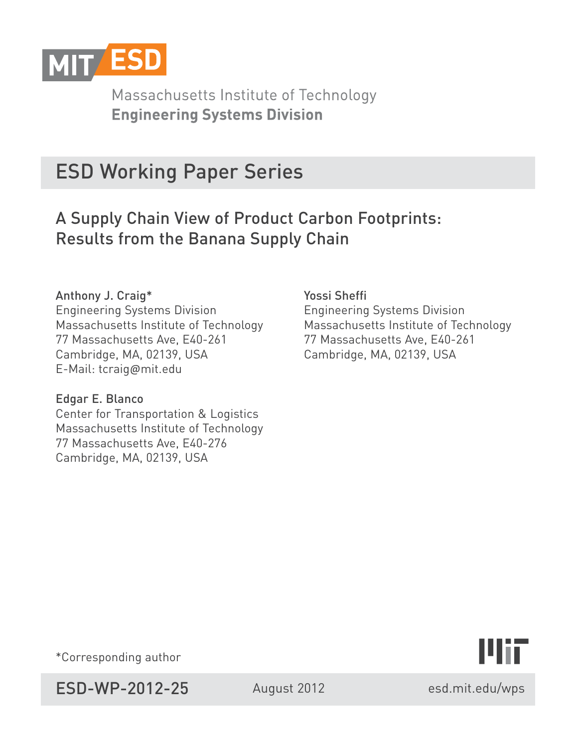

Massachusetts Institute of Technology **Engineering Systems Division** 

# ESD Working Paper Series

# A Supply Chain View of Product Carbon Footprints: Results from the Banana Supply Chain

## Anthony J. Craig\*

Engineering Systems Division Massachusetts Institute of Technology 77 Massachusetts Ave, E40-261 Cambridge, MA, 02139, USA E-Mail: tcraig@mit.edu

### Edgar E. Blanco

Center for Transportation & Logistics Massachusetts Institute of Technology 77 Massachusetts Ave, E40-276 Cambridge, MA, 02139, USA

Yossi Sheffi Engineering Systems Division Massachusetts Institute of Technology 77 Massachusetts Ave, E40-261 Cambridge, MA, 02139, USA



\*Corresponding author

ESD-WP-2012-25 August 2012

esd.mit.edu/wps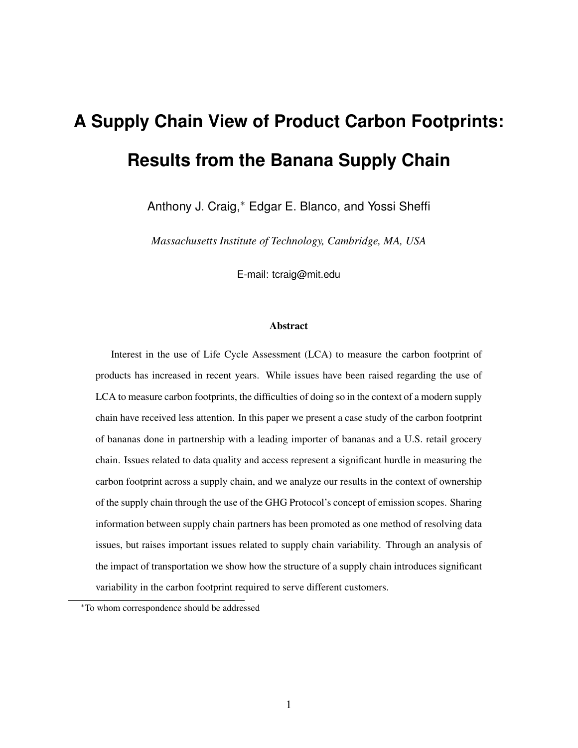# **A Supply Chain View of Product Carbon Footprints: Results from the Banana Supply Chain**

Anthony J. Craig,<sup>∗</sup> Edgar E. Blanco, and Yossi Sheffi

*Massachusetts Institute of Technology, Cambridge, MA, USA*

E-mail: tcraig@mit.edu

#### Abstract

Interest in the use of Life Cycle Assessment (LCA) to measure the carbon footprint of products has increased in recent years. While issues have been raised regarding the use of LCA to measure carbon footprints, the difficulties of doing so in the context of a modern supply chain have received less attention. In this paper we present a case study of the carbon footprint of bananas done in partnership with a leading importer of bananas and a U.S. retail grocery chain. Issues related to data quality and access represent a significant hurdle in measuring the carbon footprint across a supply chain, and we analyze our results in the context of ownership of the supply chain through the use of the GHG Protocol's concept of emission scopes. Sharing information between supply chain partners has been promoted as one method of resolving data issues, but raises important issues related to supply chain variability. Through an analysis of the impact of transportation we show how the structure of a supply chain introduces significant variability in the carbon footprint required to serve different customers.

<sup>∗</sup>To whom correspondence should be addressed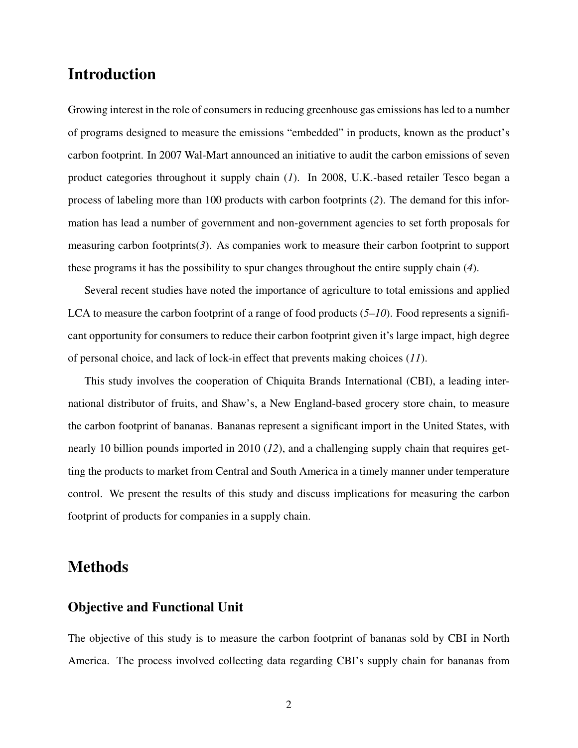# Introduction

Growing interest in the role of consumers in reducing greenhouse gas emissions has led to a number of programs designed to measure the emissions "embedded" in products, known as the product's carbon footprint. In 2007 Wal-Mart announced an initiative to audit the carbon emissions of seven product categories throughout it supply chain (*1*). In 2008, U.K.-based retailer Tesco began a process of labeling more than 100 products with carbon footprints (*2*). The demand for this information has lead a number of government and non-government agencies to set forth proposals for measuring carbon footprints $(3)$ . As companies work to measure their carbon footprint to support these programs it has the possibility to spur changes throughout the entire supply chain (*4*).

Several recent studies have noted the importance of agriculture to total emissions and applied LCA to measure the carbon footprint of a range of food products (*5*–*10*). Food represents a significant opportunity for consumers to reduce their carbon footprint given it's large impact, high degree of personal choice, and lack of lock-in effect that prevents making choices (*11*).

This study involves the cooperation of Chiquita Brands International (CBI), a leading international distributor of fruits, and Shaw's, a New England-based grocery store chain, to measure the carbon footprint of bananas. Bananas represent a significant import in the United States, with nearly 10 billion pounds imported in 2010 (*12*), and a challenging supply chain that requires getting the products to market from Central and South America in a timely manner under temperature control. We present the results of this study and discuss implications for measuring the carbon footprint of products for companies in a supply chain.

## Methods

#### Objective and Functional Unit

The objective of this study is to measure the carbon footprint of bananas sold by CBI in North America. The process involved collecting data regarding CBI's supply chain for bananas from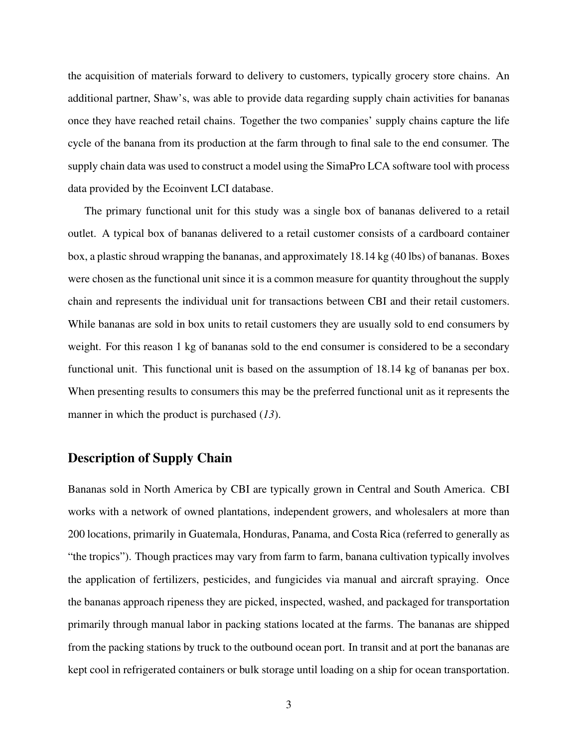the acquisition of materials forward to delivery to customers, typically grocery store chains. An additional partner, Shaw's, was able to provide data regarding supply chain activities for bananas once they have reached retail chains. Together the two companies' supply chains capture the life cycle of the banana from its production at the farm through to final sale to the end consumer. The supply chain data was used to construct a model using the SimaPro LCA software tool with process data provided by the Ecoinvent LCI database.

The primary functional unit for this study was a single box of bananas delivered to a retail outlet. A typical box of bananas delivered to a retail customer consists of a cardboard container box, a plastic shroud wrapping the bananas, and approximately 18.14 kg (40 lbs) of bananas. Boxes were chosen as the functional unit since it is a common measure for quantity throughout the supply chain and represents the individual unit for transactions between CBI and their retail customers. While bananas are sold in box units to retail customers they are usually sold to end consumers by weight. For this reason 1 kg of bananas sold to the end consumer is considered to be a secondary functional unit. This functional unit is based on the assumption of 18.14 kg of bananas per box. When presenting results to consumers this may be the preferred functional unit as it represents the manner in which the product is purchased (*13*).

#### Description of Supply Chain

Bananas sold in North America by CBI are typically grown in Central and South America. CBI works with a network of owned plantations, independent growers, and wholesalers at more than 200 locations, primarily in Guatemala, Honduras, Panama, and Costa Rica (referred to generally as "the tropics"). Though practices may vary from farm to farm, banana cultivation typically involves the application of fertilizers, pesticides, and fungicides via manual and aircraft spraying. Once the bananas approach ripeness they are picked, inspected, washed, and packaged for transportation primarily through manual labor in packing stations located at the farms. The bananas are shipped from the packing stations by truck to the outbound ocean port. In transit and at port the bananas are kept cool in refrigerated containers or bulk storage until loading on a ship for ocean transportation.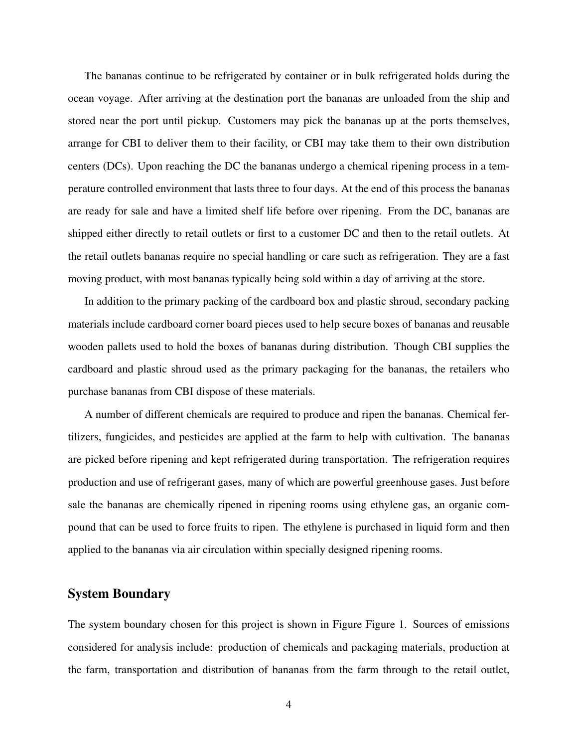The bananas continue to be refrigerated by container or in bulk refrigerated holds during the ocean voyage. After arriving at the destination port the bananas are unloaded from the ship and stored near the port until pickup. Customers may pick the bananas up at the ports themselves, arrange for CBI to deliver them to their facility, or CBI may take them to their own distribution centers (DCs). Upon reaching the DC the bananas undergo a chemical ripening process in a temperature controlled environment that lasts three to four days. At the end of this process the bananas are ready for sale and have a limited shelf life before over ripening. From the DC, bananas are shipped either directly to retail outlets or first to a customer DC and then to the retail outlets. At the retail outlets bananas require no special handling or care such as refrigeration. They are a fast moving product, with most bananas typically being sold within a day of arriving at the store.

In addition to the primary packing of the cardboard box and plastic shroud, secondary packing materials include cardboard corner board pieces used to help secure boxes of bananas and reusable wooden pallets used to hold the boxes of bananas during distribution. Though CBI supplies the cardboard and plastic shroud used as the primary packaging for the bananas, the retailers who purchase bananas from CBI dispose of these materials.

A number of different chemicals are required to produce and ripen the bananas. Chemical fertilizers, fungicides, and pesticides are applied at the farm to help with cultivation. The bananas are picked before ripening and kept refrigerated during transportation. The refrigeration requires production and use of refrigerant gases, many of which are powerful greenhouse gases. Just before sale the bananas are chemically ripened in ripening rooms using ethylene gas, an organic compound that can be used to force fruits to ripen. The ethylene is purchased in liquid form and then applied to the bananas via air circulation within specially designed ripening rooms.

#### System Boundary

The system boundary chosen for this project is shown in Figure Figure 1. Sources of emissions considered for analysis include: production of chemicals and packaging materials, production at the farm, transportation and distribution of bananas from the farm through to the retail outlet,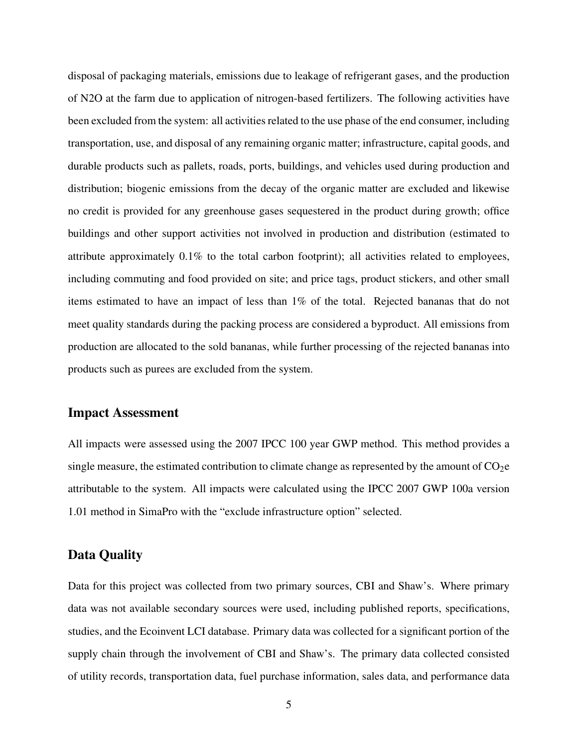disposal of packaging materials, emissions due to leakage of refrigerant gases, and the production of N2O at the farm due to application of nitrogen-based fertilizers. The following activities have been excluded from the system: all activities related to the use phase of the end consumer, including transportation, use, and disposal of any remaining organic matter; infrastructure, capital goods, and durable products such as pallets, roads, ports, buildings, and vehicles used during production and distribution; biogenic emissions from the decay of the organic matter are excluded and likewise no credit is provided for any greenhouse gases sequestered in the product during growth; office buildings and other support activities not involved in production and distribution (estimated to attribute approximately 0.1% to the total carbon footprint); all activities related to employees, including commuting and food provided on site; and price tags, product stickers, and other small items estimated to have an impact of less than 1% of the total. Rejected bananas that do not meet quality standards during the packing process are considered a byproduct. All emissions from production are allocated to the sold bananas, while further processing of the rejected bananas into products such as purees are excluded from the system.

#### Impact Assessment

All impacts were assessed using the 2007 IPCC 100 year GWP method. This method provides a single measure, the estimated contribution to climate change as represented by the amount of  $CO<sub>2</sub>e$ attributable to the system. All impacts were calculated using the IPCC 2007 GWP 100a version 1.01 method in SimaPro with the "exclude infrastructure option" selected.

#### Data Quality

Data for this project was collected from two primary sources, CBI and Shaw's. Where primary data was not available secondary sources were used, including published reports, specifications, studies, and the Ecoinvent LCI database. Primary data was collected for a significant portion of the supply chain through the involvement of CBI and Shaw's. The primary data collected consisted of utility records, transportation data, fuel purchase information, sales data, and performance data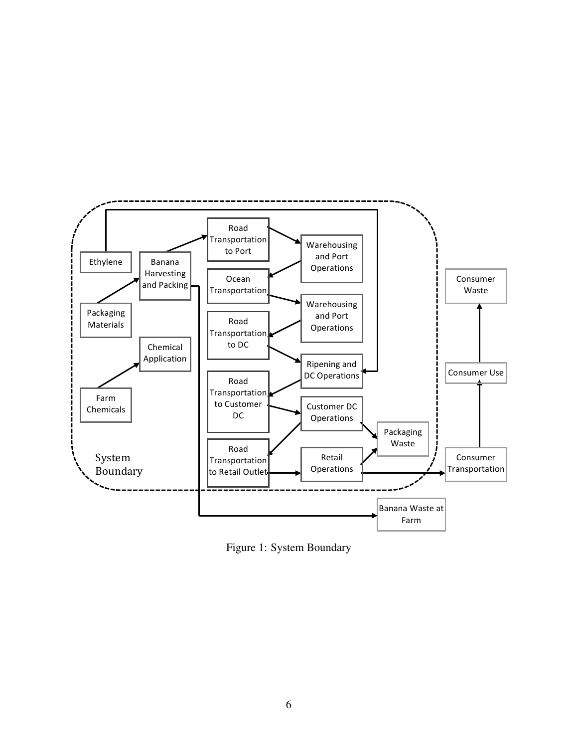

Figure 1: System Boundary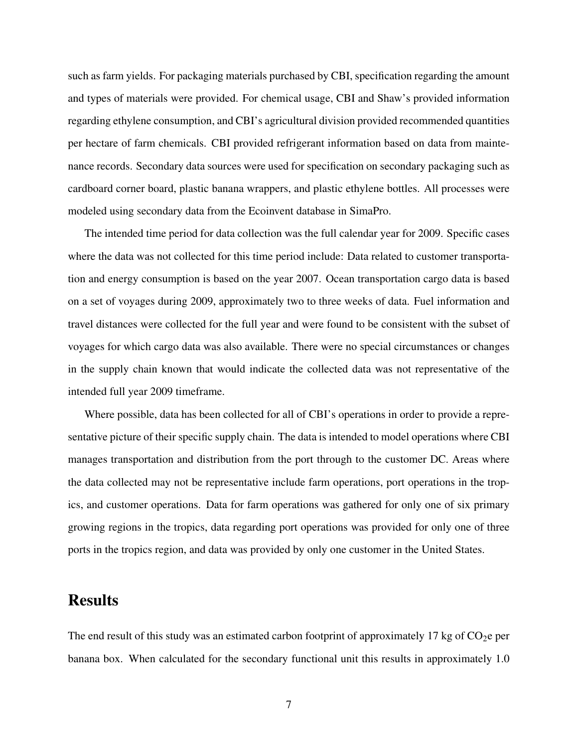such as farm yields. For packaging materials purchased by CBI, specification regarding the amount and types of materials were provided. For chemical usage, CBI and Shaw's provided information regarding ethylene consumption, and CBI's agricultural division provided recommended quantities per hectare of farm chemicals. CBI provided refrigerant information based on data from maintenance records. Secondary data sources were used for specification on secondary packaging such as cardboard corner board, plastic banana wrappers, and plastic ethylene bottles. All processes were modeled using secondary data from the Ecoinvent database in SimaPro.

The intended time period for data collection was the full calendar year for 2009. Specific cases where the data was not collected for this time period include: Data related to customer transportation and energy consumption is based on the year 2007. Ocean transportation cargo data is based on a set of voyages during 2009, approximately two to three weeks of data. Fuel information and travel distances were collected for the full year and were found to be consistent with the subset of voyages for which cargo data was also available. There were no special circumstances or changes in the supply chain known that would indicate the collected data was not representative of the intended full year 2009 timeframe.

Where possible, data has been collected for all of CBI's operations in order to provide a representative picture of their specific supply chain. The data is intended to model operations where CBI manages transportation and distribution from the port through to the customer DC. Areas where the data collected may not be representative include farm operations, port operations in the tropics, and customer operations. Data for farm operations was gathered for only one of six primary growing regions in the tropics, data regarding port operations was provided for only one of three ports in the tropics region, and data was provided by only one customer in the United States.

# **Results**

The end result of this study was an estimated carbon footprint of approximately 17 kg of  $CO<sub>2</sub>$ e per banana box. When calculated for the secondary functional unit this results in approximately 1.0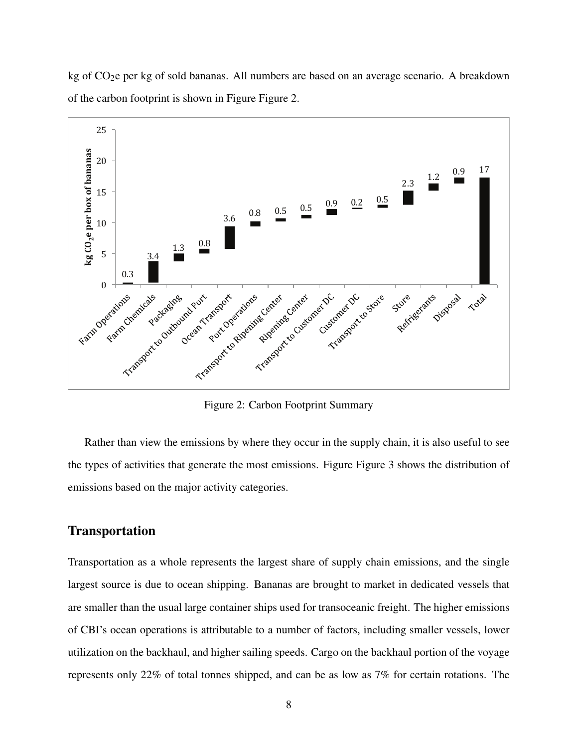

kg of  $CO<sub>2</sub>e$  per kg of sold bananas. All numbers are based on an average scenario. A breakdown of the carbon footprint is shown in Figure Figure 2.

Figure 2: Carbon Footprint Summary

Rather than view the emissions by where they occur in the supply chain, it is also useful to see the types of activities that generate the most emissions. Figure Figure 3 shows the distribution of emissions based on the major activity categories.

#### **Transportation**

Transportation as a whole represents the largest share of supply chain emissions, and the single largest source is due to ocean shipping. Bananas are brought to market in dedicated vessels that are smaller than the usual large container ships used for transoceanic freight. The higher emissions of CBI's ocean operations is attributable to a number of factors, including smaller vessels, lower utilization on the backhaul, and higher sailing speeds. Cargo on the backhaul portion of the voyage represents only 22% of total tonnes shipped, and can be as low as 7% for certain rotations. The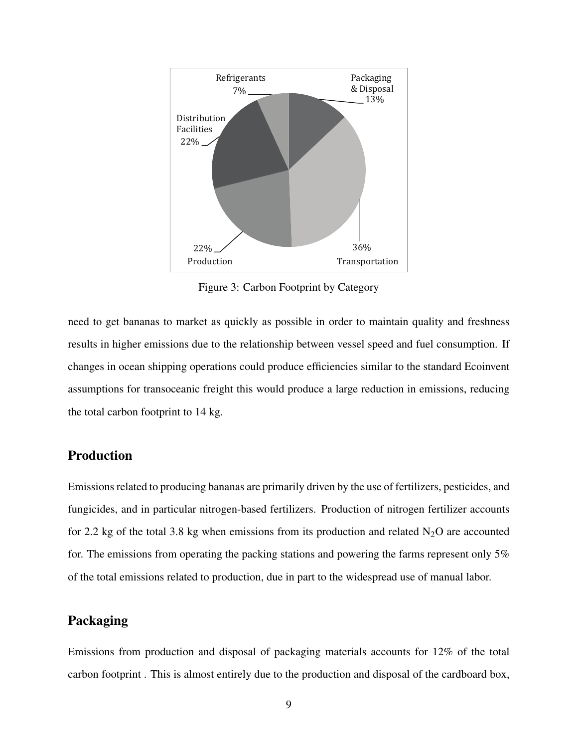

Figure 3: Carbon Footprint by Category

need to get bananas to market as quickly as possible in order to maintain quality and freshness results in higher emissions due to the relationship between vessel speed and fuel consumption. If changes in ocean shipping operations could produce efficiencies similar to the standard Ecoinvent assumptions for transoceanic freight this would produce a large reduction in emissions, reducing the total carbon footprint to 14 kg.

#### Production

Emissions related to producing bananas are primarily driven by the use of fertilizers, pesticides, and fungicides, and in particular nitrogen-based fertilizers. Production of nitrogen fertilizer accounts for 2.2 kg of the total 3.8 kg when emissions from its production and related  $N_2O$  are accounted for. The emissions from operating the packing stations and powering the farms represent only 5% of the total emissions related to production, due in part to the widespread use of manual labor.

#### Packaging

Emissions from production and disposal of packaging materials accounts for 12% of the total carbon footprint . This is almost entirely due to the production and disposal of the cardboard box,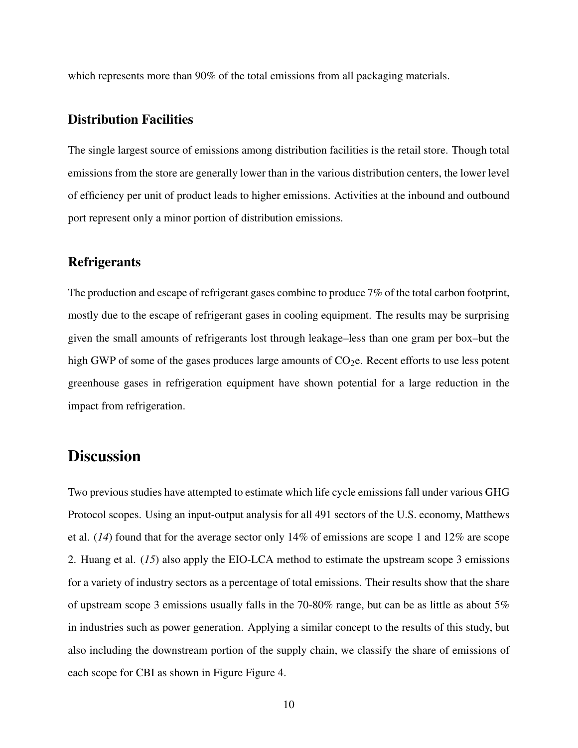which represents more than 90% of the total emissions from all packaging materials.

#### Distribution Facilities

The single largest source of emissions among distribution facilities is the retail store. Though total emissions from the store are generally lower than in the various distribution centers, the lower level of efficiency per unit of product leads to higher emissions. Activities at the inbound and outbound port represent only a minor portion of distribution emissions.

#### **Refrigerants**

The production and escape of refrigerant gases combine to produce 7% of the total carbon footprint, mostly due to the escape of refrigerant gases in cooling equipment. The results may be surprising given the small amounts of refrigerants lost through leakage–less than one gram per box–but the high GWP of some of the gases produces large amounts of  $CO<sub>2</sub>e$ . Recent efforts to use less potent greenhouse gases in refrigeration equipment have shown potential for a large reduction in the impact from refrigeration.

# **Discussion**

Two previous studies have attempted to estimate which life cycle emissions fall under various GHG Protocol scopes. Using an input-output analysis for all 491 sectors of the U.S. economy, Matthews et al. (*14*) found that for the average sector only 14% of emissions are scope 1 and 12% are scope 2. Huang et al. (*15*) also apply the EIO-LCA method to estimate the upstream scope 3 emissions for a variety of industry sectors as a percentage of total emissions. Their results show that the share of upstream scope 3 emissions usually falls in the 70-80% range, but can be as little as about 5% in industries such as power generation. Applying a similar concept to the results of this study, but also including the downstream portion of the supply chain, we classify the share of emissions of each scope for CBI as shown in Figure Figure 4.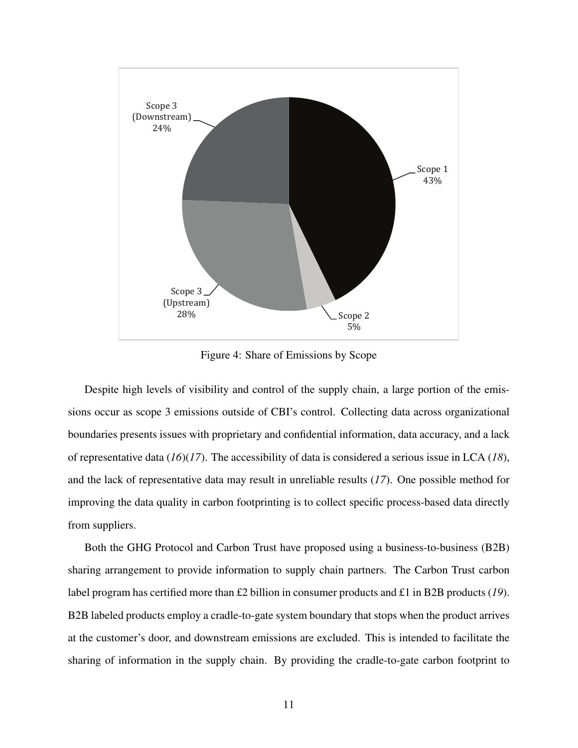

Figure 4: Share of Emissions by Scope

Despite high levels of visibility and control of the supply chain, a large portion of the emissions occur as scope 3 emissions outside of CBI's control. Collecting data across organizational boundaries presents issues with proprietary and confidential information, data accuracy, and a lack of representative data (*16*)(*17*). The accessibility of data is considered a serious issue in LCA (*18*), and the lack of representative data may result in unreliable results (*17*). One possible method for improving the data quality in carbon footprinting is to collect specific process-based data directly from suppliers.

Both the GHG Protocol and Carbon Trust have proposed using a business-to-business (B2B) sharing arrangement to provide information to supply chain partners. The Carbon Trust carbon label program has certified more than £2 billion in consumer products and £1 in B2B products (*19*). B2B labeled products employ a cradle-to-gate system boundary that stops when the product arrives at the customer's door, and downstream emissions are excluded. This is intended to facilitate the sharing of information in the supply chain. By providing the cradle-to-gate carbon footprint to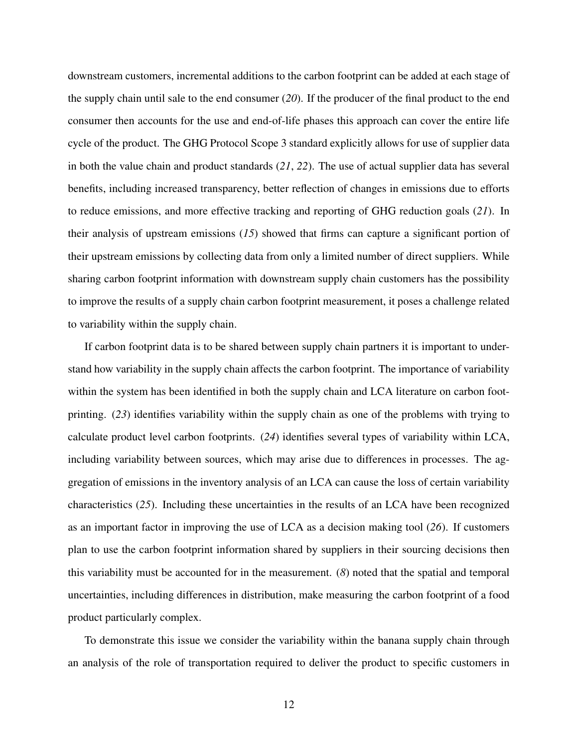downstream customers, incremental additions to the carbon footprint can be added at each stage of the supply chain until sale to the end consumer (*20*). If the producer of the final product to the end consumer then accounts for the use and end-of-life phases this approach can cover the entire life cycle of the product. The GHG Protocol Scope 3 standard explicitly allows for use of supplier data in both the value chain and product standards (*21*, *22*). The use of actual supplier data has several benefits, including increased transparency, better reflection of changes in emissions due to efforts to reduce emissions, and more effective tracking and reporting of GHG reduction goals (*21*). In their analysis of upstream emissions (*15*) showed that firms can capture a significant portion of their upstream emissions by collecting data from only a limited number of direct suppliers. While sharing carbon footprint information with downstream supply chain customers has the possibility to improve the results of a supply chain carbon footprint measurement, it poses a challenge related to variability within the supply chain.

If carbon footprint data is to be shared between supply chain partners it is important to understand how variability in the supply chain affects the carbon footprint. The importance of variability within the system has been identified in both the supply chain and LCA literature on carbon footprinting. (*23*) identifies variability within the supply chain as one of the problems with trying to calculate product level carbon footprints. (*24*) identifies several types of variability within LCA, including variability between sources, which may arise due to differences in processes. The aggregation of emissions in the inventory analysis of an LCA can cause the loss of certain variability characteristics (*25*). Including these uncertainties in the results of an LCA have been recognized as an important factor in improving the use of LCA as a decision making tool (*26*). If customers plan to use the carbon footprint information shared by suppliers in their sourcing decisions then this variability must be accounted for in the measurement. (*8*) noted that the spatial and temporal uncertainties, including differences in distribution, make measuring the carbon footprint of a food product particularly complex.

To demonstrate this issue we consider the variability within the banana supply chain through an analysis of the role of transportation required to deliver the product to specific customers in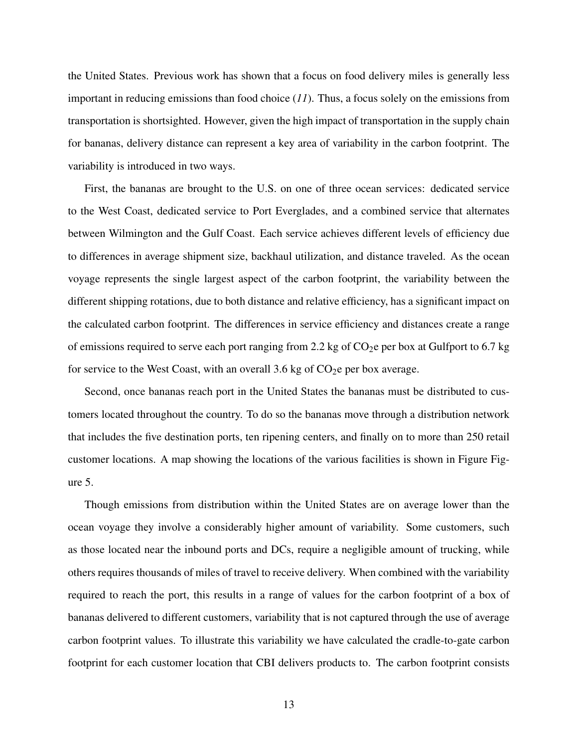the United States. Previous work has shown that a focus on food delivery miles is generally less important in reducing emissions than food choice (*11*). Thus, a focus solely on the emissions from transportation is shortsighted. However, given the high impact of transportation in the supply chain for bananas, delivery distance can represent a key area of variability in the carbon footprint. The variability is introduced in two ways.

First, the bananas are brought to the U.S. on one of three ocean services: dedicated service to the West Coast, dedicated service to Port Everglades, and a combined service that alternates between Wilmington and the Gulf Coast. Each service achieves different levels of efficiency due to differences in average shipment size, backhaul utilization, and distance traveled. As the ocean voyage represents the single largest aspect of the carbon footprint, the variability between the different shipping rotations, due to both distance and relative efficiency, has a significant impact on the calculated carbon footprint. The differences in service efficiency and distances create a range of emissions required to serve each port ranging from 2.2 kg of  $CO<sub>2</sub>e$  per box at Gulfport to 6.7 kg for service to the West Coast, with an overall 3.6 kg of  $CO<sub>2</sub>e$  per box average.

Second, once bananas reach port in the United States the bananas must be distributed to customers located throughout the country. To do so the bananas move through a distribution network that includes the five destination ports, ten ripening centers, and finally on to more than 250 retail customer locations. A map showing the locations of the various facilities is shown in Figure Figure 5.

Though emissions from distribution within the United States are on average lower than the ocean voyage they involve a considerably higher amount of variability. Some customers, such as those located near the inbound ports and DCs, require a negligible amount of trucking, while others requires thousands of miles of travel to receive delivery. When combined with the variability required to reach the port, this results in a range of values for the carbon footprint of a box of bananas delivered to different customers, variability that is not captured through the use of average carbon footprint values. To illustrate this variability we have calculated the cradle-to-gate carbon footprint for each customer location that CBI delivers products to. The carbon footprint consists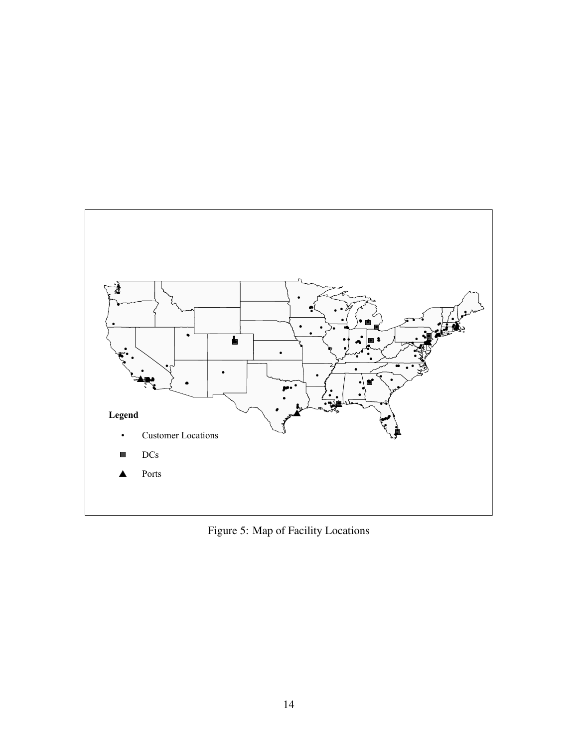

Figure 5: Map of Facility Locations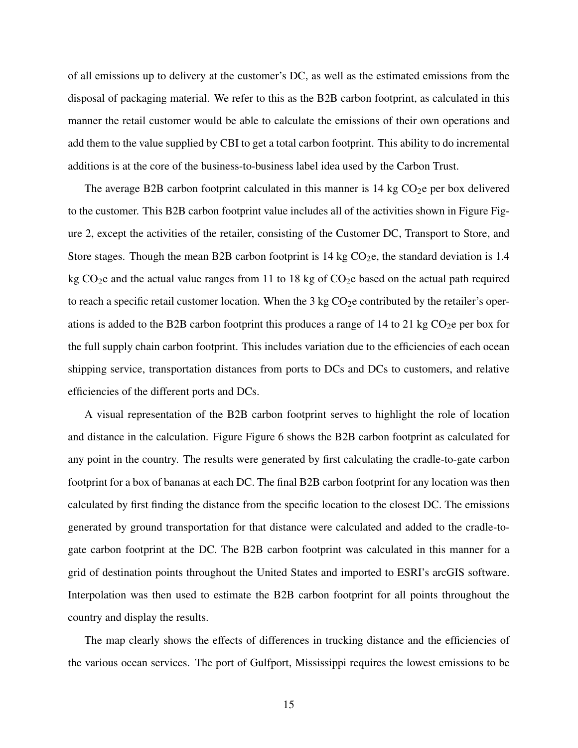of all emissions up to delivery at the customer's DC, as well as the estimated emissions from the disposal of packaging material. We refer to this as the B2B carbon footprint, as calculated in this manner the retail customer would be able to calculate the emissions of their own operations and add them to the value supplied by CBI to get a total carbon footprint. This ability to do incremental additions is at the core of the business-to-business label idea used by the Carbon Trust.

The average B2B carbon footprint calculated in this manner is  $14 \text{ kg CO}_2$ e per box delivered to the customer. This B2B carbon footprint value includes all of the activities shown in Figure Figure 2, except the activities of the retailer, consisting of the Customer DC, Transport to Store, and Store stages. Though the mean B2B carbon footprint is  $14 \text{ kg CO}_2$ e, the standard deviation is 1.4 kg  $CO<sub>2</sub>e$  and the actual value ranges from 11 to 18 kg of  $CO<sub>2</sub>e$  based on the actual path required to reach a specific retail customer location. When the 3 kg  $CO<sub>2</sub>e$  contributed by the retailer's operations is added to the B2B carbon footprint this produces a range of 14 to 21 kg  $CO<sub>2</sub>$ e per box for the full supply chain carbon footprint. This includes variation due to the efficiencies of each ocean shipping service, transportation distances from ports to DCs and DCs to customers, and relative efficiencies of the different ports and DCs.

A visual representation of the B2B carbon footprint serves to highlight the role of location and distance in the calculation. Figure Figure 6 shows the B2B carbon footprint as calculated for any point in the country. The results were generated by first calculating the cradle-to-gate carbon footprint for a box of bananas at each DC. The final B2B carbon footprint for any location was then calculated by first finding the distance from the specific location to the closest DC. The emissions generated by ground transportation for that distance were calculated and added to the cradle-togate carbon footprint at the DC. The B2B carbon footprint was calculated in this manner for a grid of destination points throughout the United States and imported to ESRI's arcGIS software. Interpolation was then used to estimate the B2B carbon footprint for all points throughout the country and display the results.

The map clearly shows the effects of differences in trucking distance and the efficiencies of the various ocean services. The port of Gulfport, Mississippi requires the lowest emissions to be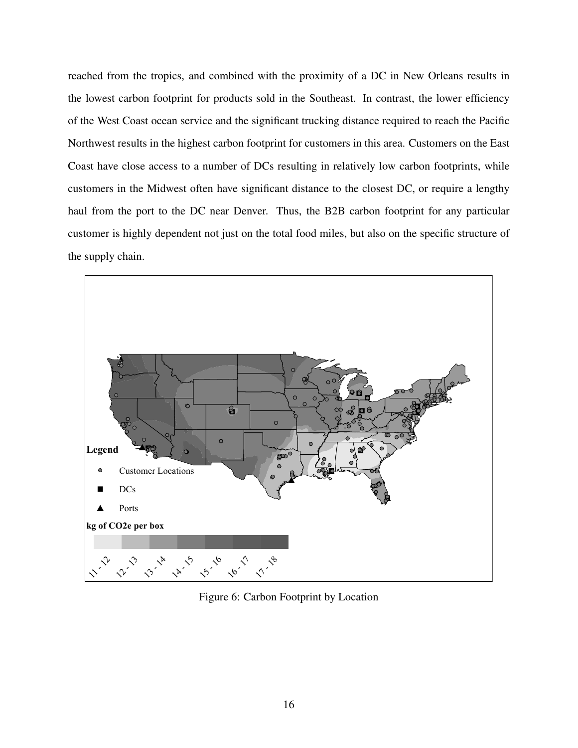reached from the tropics, and combined with the proximity of a DC in New Orleans results in the lowest carbon footprint for products sold in the Southeast. In contrast, the lower efficiency of the West Coast ocean service and the significant trucking distance required to reach the Pacific Northwest results in the highest carbon footprint for customers in this area. Customers on the East Coast have close access to a number of DCs resulting in relatively low carbon footprints, while customers in the Midwest often have significant distance to the closest DC, or require a lengthy haul from the port to the DC near Denver. Thus, the B2B carbon footprint for any particular customer is highly dependent not just on the total food miles, but also on the specific structure of the supply chain.



Figure 6: Carbon Footprint by Location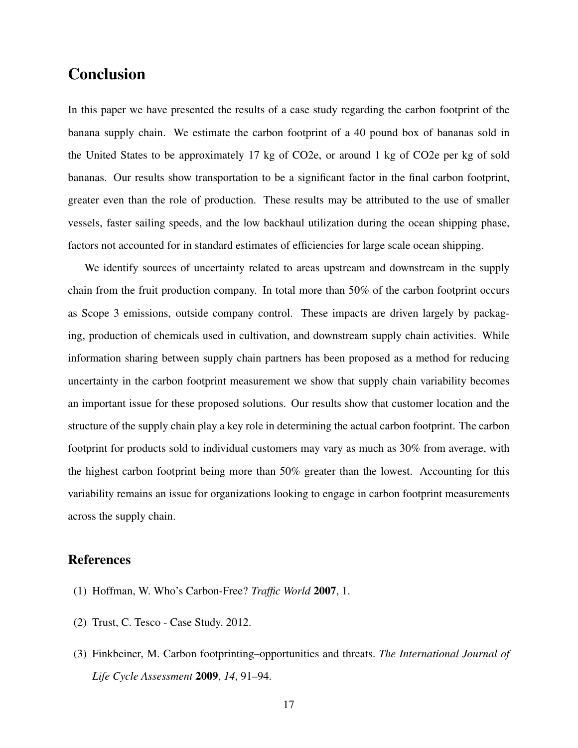# Conclusion

In this paper we have presented the results of a case study regarding the carbon footprint of the banana supply chain. We estimate the carbon footprint of a 40 pound box of bananas sold in the United States to be approximately 17 kg of CO2e, or around 1 kg of CO2e per kg of sold bananas. Our results show transportation to be a significant factor in the final carbon footprint, greater even than the role of production. These results may be attributed to the use of smaller vessels, faster sailing speeds, and the low backhaul utilization during the ocean shipping phase, factors not accounted for in standard estimates of efficiencies for large scale ocean shipping.

We identify sources of uncertainty related to areas upstream and downstream in the supply chain from the fruit production company. In total more than 50% of the carbon footprint occurs as Scope 3 emissions, outside company control. These impacts are driven largely by packaging, production of chemicals used in cultivation, and downstream supply chain activities. While information sharing between supply chain partners has been proposed as a method for reducing uncertainty in the carbon footprint measurement we show that supply chain variability becomes an important issue for these proposed solutions. Our results show that customer location and the structure of the supply chain play a key role in determining the actual carbon footprint. The carbon footprint for products sold to individual customers may vary as much as 30% from average, with the highest carbon footprint being more than 50% greater than the lowest. Accounting for this variability remains an issue for organizations looking to engage in carbon footprint measurements across the supply chain.

#### References

- (1) Hoffman, W. Who's Carbon-Free? *Traffic World* 2007, 1.
- (2) Trust, C. Tesco Case Study. 2012.
- (3) Finkbeiner, M. Carbon footprinting–opportunities and threats. *The International Journal of Life Cycle Assessment* 2009, *14*, 91–94.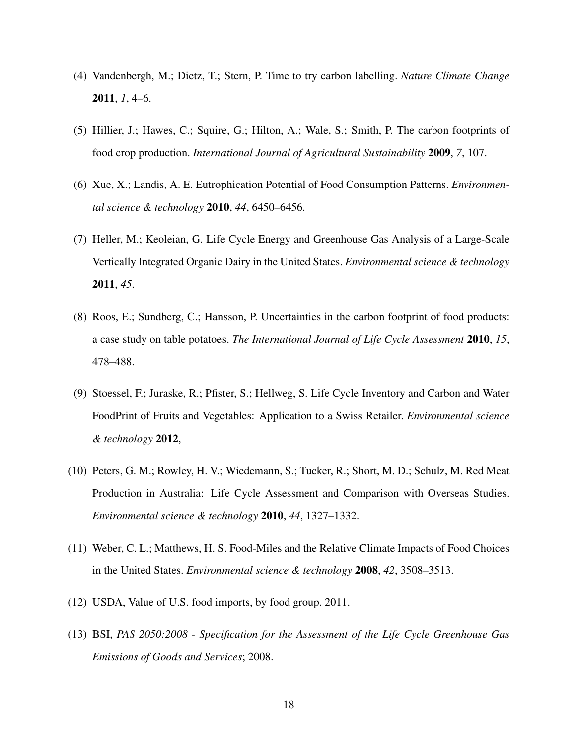- (4) Vandenbergh, M.; Dietz, T.; Stern, P. Time to try carbon labelling. *Nature Climate Change* 2011, *1*, 4–6.
- (5) Hillier, J.; Hawes, C.; Squire, G.; Hilton, A.; Wale, S.; Smith, P. The carbon footprints of food crop production. *International Journal of Agricultural Sustainability* 2009, *7*, 107.
- (6) Xue, X.; Landis, A. E. Eutrophication Potential of Food Consumption Patterns. *Environmental science & technology* 2010, *44*, 6450–6456.
- (7) Heller, M.; Keoleian, G. Life Cycle Energy and Greenhouse Gas Analysis of a Large-Scale Vertically Integrated Organic Dairy in the United States. *Environmental science & technology* 2011, *45*.
- (8) Roos, E.; Sundberg, C.; Hansson, P. Uncertainties in the carbon footprint of food products: a case study on table potatoes. *The International Journal of Life Cycle Assessment* 2010, *15*, 478–488.
- (9) Stoessel, F.; Juraske, R.; Pfister, S.; Hellweg, S. Life Cycle Inventory and Carbon and Water FoodPrint of Fruits and Vegetables: Application to a Swiss Retailer. *Environmental science & technology* 2012,
- (10) Peters, G. M.; Rowley, H. V.; Wiedemann, S.; Tucker, R.; Short, M. D.; Schulz, M. Red Meat Production in Australia: Life Cycle Assessment and Comparison with Overseas Studies. *Environmental science & technology* 2010, *44*, 1327–1332.
- (11) Weber, C. L.; Matthews, H. S. Food-Miles and the Relative Climate Impacts of Food Choices in the United States. *Environmental science & technology* 2008, *42*, 3508–3513.
- (12) USDA, Value of U.S. food imports, by food group. 2011.
- (13) BSI, *PAS 2050:2008 Specification for the Assessment of the Life Cycle Greenhouse Gas Emissions of Goods and Services*; 2008.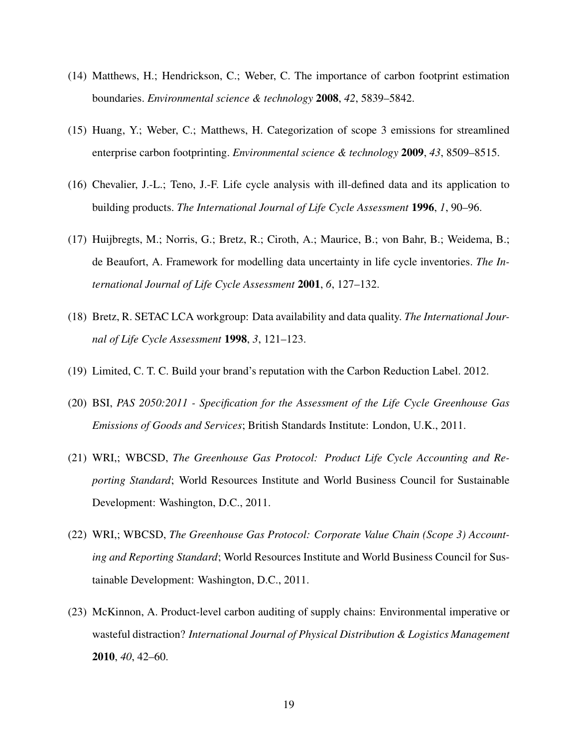- (14) Matthews, H.; Hendrickson, C.; Weber, C. The importance of carbon footprint estimation boundaries. *Environmental science & technology* 2008, *42*, 5839–5842.
- (15) Huang, Y.; Weber, C.; Matthews, H. Categorization of scope 3 emissions for streamlined enterprise carbon footprinting. *Environmental science & technology* 2009, *43*, 8509–8515.
- (16) Chevalier, J.-L.; Teno, J.-F. Life cycle analysis with ill-defined data and its application to building products. *The International Journal of Life Cycle Assessment* 1996, *1*, 90–96.
- (17) Huijbregts, M.; Norris, G.; Bretz, R.; Ciroth, A.; Maurice, B.; von Bahr, B.; Weidema, B.; de Beaufort, A. Framework for modelling data uncertainty in life cycle inventories. *The International Journal of Life Cycle Assessment* 2001, *6*, 127–132.
- (18) Bretz, R. SETAC LCA workgroup: Data availability and data quality. *The International Journal of Life Cycle Assessment* 1998, *3*, 121–123.
- (19) Limited, C. T. C. Build your brand's reputation with the Carbon Reduction Label. 2012.
- (20) BSI, *PAS 2050:2011 Specification for the Assessment of the Life Cycle Greenhouse Gas Emissions of Goods and Services*; British Standards Institute: London, U.K., 2011.
- (21) WRI,; WBCSD, *The Greenhouse Gas Protocol: Product Life Cycle Accounting and Reporting Standard*; World Resources Institute and World Business Council for Sustainable Development: Washington, D.C., 2011.
- (22) WRI,; WBCSD, *The Greenhouse Gas Protocol: Corporate Value Chain (Scope 3) Accounting and Reporting Standard*; World Resources Institute and World Business Council for Sustainable Development: Washington, D.C., 2011.
- (23) McKinnon, A. Product-level carbon auditing of supply chains: Environmental imperative or wasteful distraction? *International Journal of Physical Distribution & Logistics Management* 2010, *40*, 42–60.